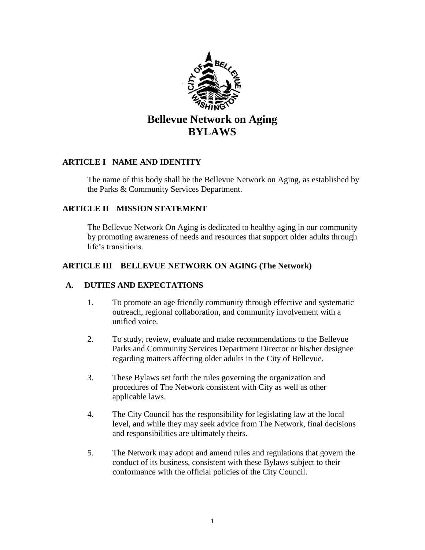

# **Bellevue Network on Aging BYLAWS**

## **ARTICLE I NAME AND IDENTITY**

The name of this body shall be the Bellevue Network on Aging*,* as established by the Parks & Community Services Department.

#### **ARTICLE II MISSION STATEMENT**

The Bellevue Network On Aging is dedicated to healthy aging in our community by promoting awareness of needs and resources that support older adults through life's transitions.

#### **ARTICLE III BELLEVUE NETWORK ON AGING (The Network)**

#### **A. DUTIES AND EXPECTATIONS**

- 1. To promote an age friendly community through effective and systematic outreach, regional collaboration, and community involvement with a unified voice.
- 2. To study, review, evaluate and make recommendations to the Bellevue Parks and Community Services Department Director or his/her designee regarding matters affecting older adults in the City of Bellevue.
- 3. These Bylaws set forth the rules governing the organization and procedures of The Network consistent with City as well as other applicable laws.
- 4. The City Council has the responsibility for legislating law at the local level, and while they may seek advice from The Network, final decisions and responsibilities are ultimately theirs.
- 5. The Network may adopt and amend rules and regulations that govern the conduct of its business, consistent with these Bylaws subject to their conformance with the official policies of the City Council.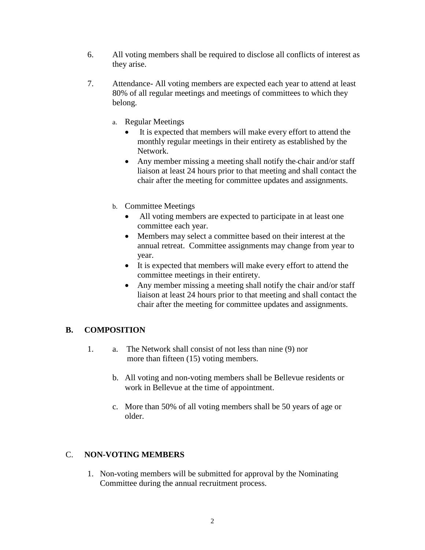- 6. All voting members shall be required to disclose all conflicts of interest as they arise.
- 7. Attendance- All voting members are expected each year to attend at least 80% of all regular meetings and meetings of committees to which they belong.
	- a. Regular Meetings
		- It is expected that members will make every effort to attend the monthly regular meetings in their entirety as established by the Network.
		- Any member missing a meeting shall notify the chair and/or staff liaison at least 24 hours prior to that meeting and shall contact the chair after the meeting for committee updates and assignments.
	- b. Committee Meetings
		- All voting members are expected to participate in at least one committee each year.
		- Members may select a committee based on their interest at the annual retreat. Committee assignments may change from year to year.
		- It is expected that members will make every effort to attend the committee meetings in their entirety.
		- Any member missing a meeting shall notify the chair and/or staff liaison at least 24 hours prior to that meeting and shall contact the chair after the meeting for committee updates and assignments.

# **B. COMPOSITION**

- 1. a. The Network shall consist of not less than nine (9) nor more than fifteen (15) voting members.
	- b. All voting and non-voting members shall be Bellevue residents or work in Bellevue at the time of appointment.
	- c. More than 50% of all voting members shall be 50 years of age or older.

# C. **NON-VOTING MEMBERS**

1. Non-voting members will be submitted for approval by the Nominating Committee during the annual recruitment process.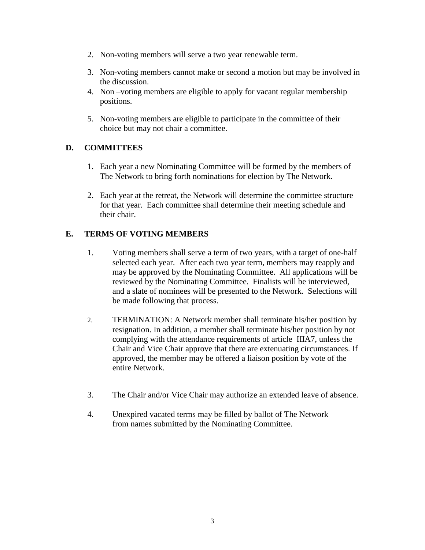- 2. Non-voting members will serve a two year renewable term.
- 3. Non-voting members cannot make or second a motion but may be involved in the discussion.
- 4. Non –voting members are eligible to apply for vacant regular membership positions.
- 5. Non-voting members are eligible to participate in the committee of their choice but may not chair a committee.

#### **D. COMMITTEES**

- 1. Each year a new Nominating Committee will be formed by the members of The Network to bring forth nominations for election by The Network.
- 2. Each year at the retreat, the Network will determine the committee structure for that year. Each committee shall determine their meeting schedule and their chair.

## **E. TERMS OF VOTING MEMBERS**

- 1. Voting members shall serve a term of two years, with a target of one-half selected each year. After each two year term, members may reapply and may be approved by the Nominating Committee. All applications will be reviewed by the Nominating Committee. Finalists will be interviewed, and a slate of nominees will be presented to the Network. Selections will be made following that process.
- 2. TERMINATION: A Network member shall terminate his/her position by resignation. In addition, a member shall terminate his/her position by not complying with the attendance requirements of article IIIA7, unless the Chair and Vice Chair approve that there are extenuating circumstances. If approved, the member may be offered a liaison position by vote of the entire Network.
- 3. The Chair and/or Vice Chair may authorize an extended leave of absence.
- 4. Unexpired vacated terms may be filled by ballot of The Network from names submitted by the Nominating Committee.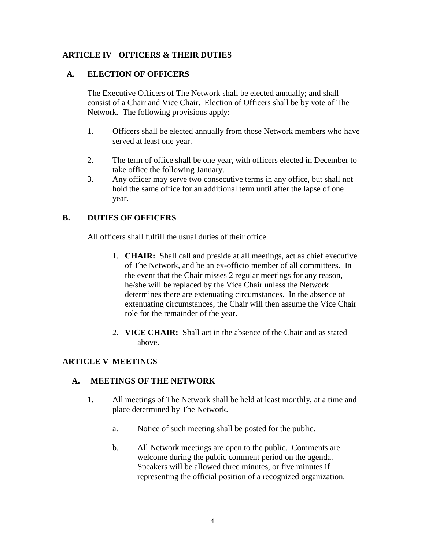#### **ARTICLE IV OFFICERS & THEIR DUTIES**

#### **A. ELECTION OF OFFICERS**

The Executive Officers of The Network shall be elected annually; and shall consist of a Chair and Vice Chair. Election of Officers shall be by vote of The Network. The following provisions apply:

- 1. Officers shall be elected annually from those Network members who have served at least one year.
- 2. The term of office shall be one year, with officers elected in December to take office the following January.
- 3. Any officer may serve two consecutive terms in any office, but shall not hold the same office for an additional term until after the lapse of one year.

#### **B. DUTIES OF OFFICERS**

All officers shall fulfill the usual duties of their office.

- 1. **CHAIR:** Shall call and preside at all meetings, act as chief executive of The Network, and be an ex-officio member of all committees. In the event that the Chair misses 2 regular meetings for any reason, he/she will be replaced by the Vice Chair unless the Network determines there are extenuating circumstances. In the absence of extenuating circumstances, the Chair will then assume the Vice Chair role for the remainder of the year.
- 2. **VICE CHAIR:** Shall act in the absence of the Chair and as stated above.

#### **ARTICLE V MEETINGS**

#### **A. MEETINGS OF THE NETWORK**

- 1. All meetings of The Network shall be held at least monthly, at a time and place determined by The Network.
	- a. Notice of such meeting shall be posted for the public.
	- b. All Network meetings are open to the public. Comments are welcome during the public comment period on the agenda. Speakers will be allowed three minutes, or five minutes if representing the official position of a recognized organization.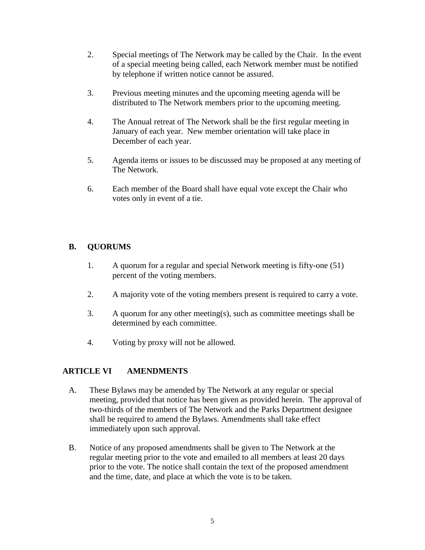- 2. Special meetings of The Network may be called by the Chair. In the event of a special meeting being called, each Network member must be notified by telephone if written notice cannot be assured.
- 3. Previous meeting minutes and the upcoming meeting agenda will be distributed to The Network members prior to the upcoming meeting.
- 4. The Annual retreat of The Network shall be the first regular meeting in January of each year. New member orientation will take place in December of each year.
- 5. Agenda items or issues to be discussed may be proposed at any meeting of The Network.
- 6. Each member of the Board shall have equal vote except the Chair who votes only in event of a tie.

# **B. QUORUMS**

- 1. A quorum for a regular and special Network meeting is fifty-one (51) percent of the voting members.
- 2. A majority vote of the voting members present is required to carry a vote.
- 3. A quorum for any other meeting(s), such as committee meetings shall be determined by each committee.
- 4. Voting by proxy will not be allowed.

# **ARTICLE VI AMENDMENTS**

- A. These Bylaws may be amended by The Network at any regular or special meeting, provided that notice has been given as provided herein. The approval of two-thirds of the members of The Network and the Parks Department designee shall be required to amend the Bylaws. Amendments shall take effect immediately upon such approval.
- B. Notice of any proposed amendments shall be given to The Network at the regular meeting prior to the vote and emailed to all members at least 20 days prior to the vote. The notice shall contain the text of the proposed amendment and the time, date, and place at which the vote is to be taken.